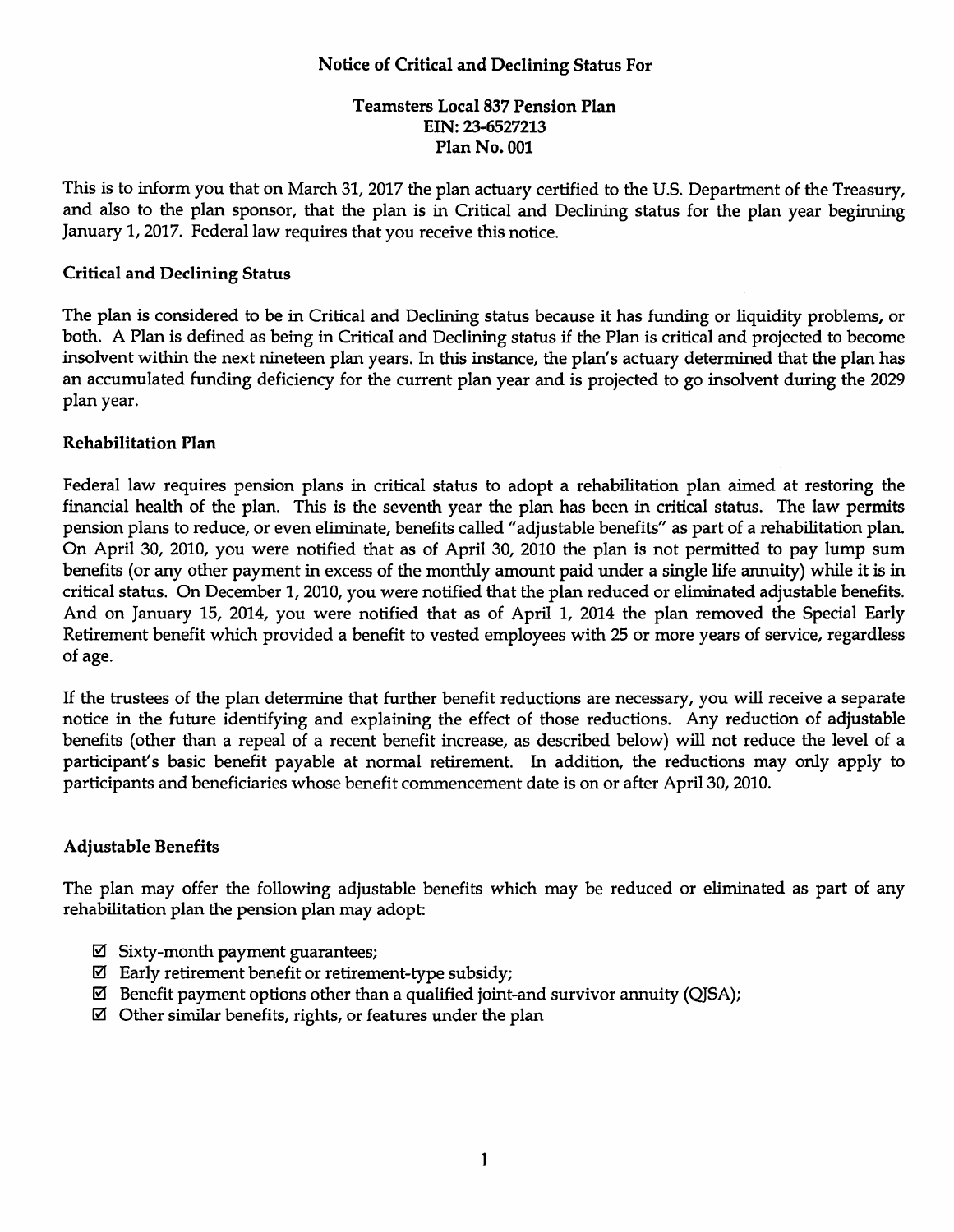## Notice of Critical and Declining Status For

## Teamsters Local 837 Pension Plan EIN: 23-6527213 Plan No. 001

This is to inform you that on March 31, 2017 the plan actuary certified to the U.S. Department of the Treasury, and also to the plan sponsor, that the plan is in Critical and Declining status for the plan year beginning January 1, 2017. Federal law requires that you receive this notice.

#### Critical and Declining Status

The plan is considered to be in Critical and Declining status because it has funding or liquidity problems, or both. A Plan is defined as being in Critical and Declining status if the Plan is critical and projected to become insolvent within the next nineteen plan years. In this instance, the plan's actuary determined that the plan has an accumulated funding deficiency for the current plan year and is projected to go insolvent during the 2029 plan year.

#### Rehabilitation Plan

Federal law requires pension plans in critical status to adopt a rehabilitation plan aimed at restoring the financial health of the plan. This is the seventh year the plan has been in critical status. The law permits pension plans to reduce, or even eliminate, benefits called "adjustable benefits" as part of a rehabilitation plan. On April 30, 2010, you were notified that as of April 30, 2010 the plan is not permitted to pay lump sum benefits (or any other payment in excess of the monthly amount paid under a single life annuity) while it is in critical status. On December 1, 2010, you were notified that the plan reduced or eliminated adjustable benefits. And on January 15, 2014, you were notified that as of April 1, 2014 the plan removed the Special Early Retirement benefit which provided a benefit to vested employees with 25 or more years of service, regardless of age.

If the trustees of the plan determine that further benefit reductions are necessary, you will receive a separate notice in the future identifying and explaining the effect of those reductions. Any reduction of adjustable benefits (other than a repeal of a recent benefit increase, as described below) will not reduce the level of a participant's basic benefit payable at normal retirement. In addition, the reductions may only apply to participants and beneficiaries whose benefit commencement date is on or after April 30, 2010.

## Adjustable Benefits

The plan may offer the following adjustable benefits which may be reduced or eliminated as part of any rehabilitation plan the pension plan may adopt:

- $\boxtimes$  Sixty-month payment guarantees;
- $\boxtimes$  Early retirement benefit or retirement-type subsidy;
- $\boxtimes$  Benefit payment options other than a qualified joint-and survivor annuity (QJSA);
- $\boxtimes$  Other similar benefits, rights, or features under the plan